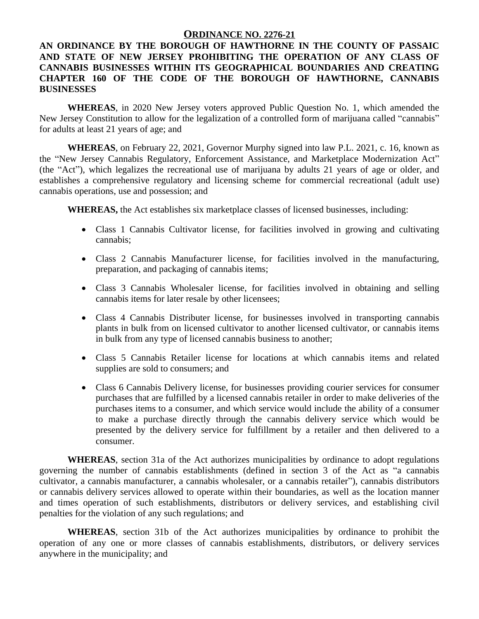## **ORDINANCE NO. 2276-21**

## **AN ORDINANCE BY THE BOROUGH OF HAWTHORNE IN THE COUNTY OF PASSAIC AND STATE OF NEW JERSEY PROHIBITING THE OPERATION OF ANY CLASS OF CANNABIS BUSINESSES WITHIN ITS GEOGRAPHICAL BOUNDARIES AND CREATING CHAPTER 160 OF THE CODE OF THE BOROUGH OF HAWTHORNE, CANNABIS BUSINESSES**

**WHEREAS**, in 2020 New Jersey voters approved Public Question No. 1, which amended the New Jersey Constitution to allow for the legalization of a controlled form of marijuana called "cannabis" for adults at least 21 years of age; and

**WHEREAS**, on February 22, 2021, Governor Murphy signed into law P.L. 2021, c. 16, known as the "New Jersey Cannabis Regulatory, Enforcement Assistance, and Marketplace Modernization Act" (the "Act"), which legalizes the recreational use of marijuana by adults 21 years of age or older, and establishes a comprehensive regulatory and licensing scheme for commercial recreational (adult use) cannabis operations, use and possession; and

**WHEREAS,** the Act establishes six marketplace classes of licensed businesses, including:

- Class 1 Cannabis Cultivator license, for facilities involved in growing and cultivating cannabis;
- Class 2 Cannabis Manufacturer license, for facilities involved in the manufacturing, preparation, and packaging of cannabis items;
- Class 3 Cannabis Wholesaler license, for facilities involved in obtaining and selling cannabis items for later resale by other licensees;
- Class 4 Cannabis Distributer license, for businesses involved in transporting cannabis plants in bulk from on licensed cultivator to another licensed cultivator, or cannabis items in bulk from any type of licensed cannabis business to another;
- Class 5 Cannabis Retailer license for locations at which cannabis items and related supplies are sold to consumers; and
- Class 6 Cannabis Delivery license, for businesses providing courier services for consumer purchases that are fulfilled by a licensed cannabis retailer in order to make deliveries of the purchases items to a consumer, and which service would include the ability of a consumer to make a purchase directly through the cannabis delivery service which would be presented by the delivery service for fulfillment by a retailer and then delivered to a consumer.

**WHEREAS**, section 31a of the Act authorizes municipalities by ordinance to adopt regulations governing the number of cannabis establishments (defined in section 3 of the Act as "a cannabis cultivator, a cannabis manufacturer, a cannabis wholesaler, or a cannabis retailer"), cannabis distributors or cannabis delivery services allowed to operate within their boundaries, as well as the location manner and times operation of such establishments, distributors or delivery services, and establishing civil penalties for the violation of any such regulations; and

**WHEREAS**, section 31b of the Act authorizes municipalities by ordinance to prohibit the operation of any one or more classes of cannabis establishments, distributors, or delivery services anywhere in the municipality; and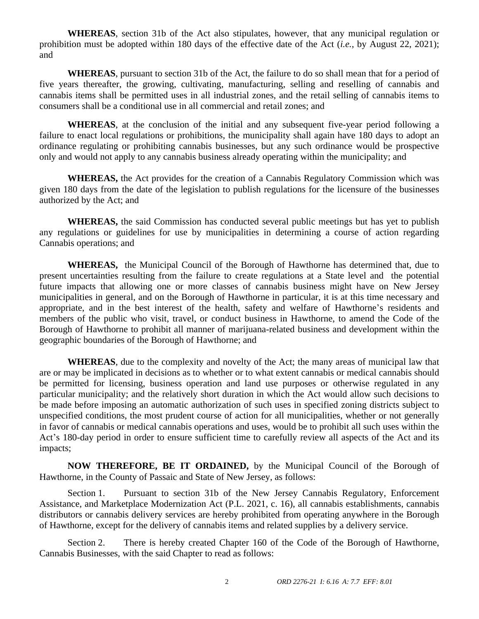**WHEREAS**, section 31b of the Act also stipulates, however, that any municipal regulation or prohibition must be adopted within 180 days of the effective date of the Act (*i.e.*, by August 22, 2021); and

**WHEREAS**, pursuant to section 31b of the Act, the failure to do so shall mean that for a period of five years thereafter, the growing, cultivating, manufacturing, selling and reselling of cannabis and cannabis items shall be permitted uses in all industrial zones, and the retail selling of cannabis items to consumers shall be a conditional use in all commercial and retail zones; and

**WHEREAS**, at the conclusion of the initial and any subsequent five-year period following a failure to enact local regulations or prohibitions, the municipality shall again have 180 days to adopt an ordinance regulating or prohibiting cannabis businesses, but any such ordinance would be prospective only and would not apply to any cannabis business already operating within the municipality; and

**WHEREAS,** the Act provides for the creation of a Cannabis Regulatory Commission which was given 180 days from the date of the legislation to publish regulations for the licensure of the businesses authorized by the Act; and

**WHEREAS,** the said Commission has conducted several public meetings but has yet to publish any regulations or guidelines for use by municipalities in determining a course of action regarding Cannabis operations; and

**WHEREAS,** the Municipal Council of the Borough of Hawthorne has determined that, due to present uncertainties resulting from the failure to create regulations at a State level and the potential future impacts that allowing one or more classes of cannabis business might have on New Jersey municipalities in general, and on the Borough of Hawthorne in particular, it is at this time necessary and appropriate, and in the best interest of the health, safety and welfare of Hawthorne's residents and members of the public who visit, travel, or conduct business in Hawthorne, to amend the Code of the Borough of Hawthorne to prohibit all manner of marijuana-related business and development within the geographic boundaries of the Borough of Hawthorne; and

**WHEREAS**, due to the complexity and novelty of the Act; the many areas of municipal law that are or may be implicated in decisions as to whether or to what extent cannabis or medical cannabis should be permitted for licensing, business operation and land use purposes or otherwise regulated in any particular municipality; and the relatively short duration in which the Act would allow such decisions to be made before imposing an automatic authorization of such uses in specified zoning districts subject to unspecified conditions, the most prudent course of action for all municipalities, whether or not generally in favor of cannabis or medical cannabis operations and uses, would be to prohibit all such uses within the Act's 180-day period in order to ensure sufficient time to carefully review all aspects of the Act and its impacts;

**NOW THEREFORE, BE IT ORDAINED,** by the Municipal Council of the Borough of Hawthorne, in the County of Passaic and State of New Jersey, as follows:

Section 1. Pursuant to section 31b of the New Jersey Cannabis Regulatory, Enforcement Assistance, and Marketplace Modernization Act (P.L. 2021, c. 16), all cannabis establishments, cannabis distributors or cannabis delivery services are hereby prohibited from operating anywhere in the Borough of Hawthorne, except for the delivery of cannabis items and related supplies by a delivery service.

Section 2. There is hereby created Chapter 160 of the Code of the Borough of Hawthorne, Cannabis Businesses, with the said Chapter to read as follows: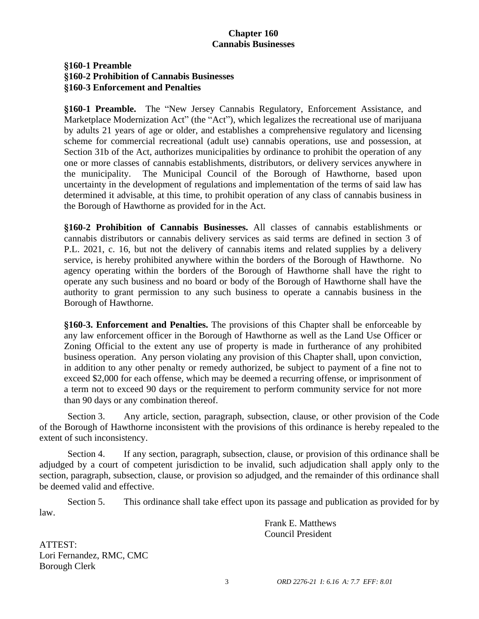# **Chapter 160 Cannabis Businesses**

## **§160-1 Preamble §160-2 Prohibition of Cannabis Businesses §160-3 Enforcement and Penalties**

**§160-1 Preamble.** The "New Jersey Cannabis Regulatory, Enforcement Assistance, and Marketplace Modernization Act" (the "Act"), which legalizes the recreational use of marijuana by adults 21 years of age or older, and establishes a comprehensive regulatory and licensing scheme for commercial recreational (adult use) cannabis operations, use and possession, at Section 31b of the Act, authorizes municipalities by ordinance to prohibit the operation of any one or more classes of cannabis establishments, distributors, or delivery services anywhere in the municipality. The Municipal Council of the Borough of Hawthorne, based upon uncertainty in the development of regulations and implementation of the terms of said law has determined it advisable, at this time, to prohibit operation of any class of cannabis business in the Borough of Hawthorne as provided for in the Act.

**§160-2 Prohibition of Cannabis Businesses.** All classes of cannabis establishments or cannabis distributors or cannabis delivery services as said terms are defined in section 3 of P.L. 2021, c. 16, but not the delivery of cannabis items and related supplies by a delivery service, is hereby prohibited anywhere within the borders of the Borough of Hawthorne. No agency operating within the borders of the Borough of Hawthorne shall have the right to operate any such business and no board or body of the Borough of Hawthorne shall have the authority to grant permission to any such business to operate a cannabis business in the Borough of Hawthorne.

**§160-3. Enforcement and Penalties.** The provisions of this Chapter shall be enforceable by any law enforcement officer in the Borough of Hawthorne as well as the Land Use Officer or Zoning Official to the extent any use of property is made in furtherance of any prohibited business operation. Any person violating any provision of this Chapter shall, upon conviction, in addition to any other penalty or remedy authorized, be subject to payment of a fine not to exceed \$2,000 for each offense, which may be deemed a recurring offense, or imprisonment of a term not to exceed 90 days or the requirement to perform community service for not more than 90 days or any combination thereof.

Section 3. Any article, section, paragraph, subsection, clause, or other provision of the Code of the Borough of Hawthorne inconsistent with the provisions of this ordinance is hereby repealed to the extent of such inconsistency.

Section 4. If any section, paragraph, subsection, clause, or provision of this ordinance shall be adjudged by a court of competent jurisdiction to be invalid, such adjudication shall apply only to the section, paragraph, subsection, clause, or provision so adjudged, and the remainder of this ordinance shall be deemed valid and effective.

Section 5. This ordinance shall take effect upon its passage and publication as provided for by law.

> Frank E. Matthews Council President

ATTEST: Lori Fernandez, RMC, CMC Borough Clerk